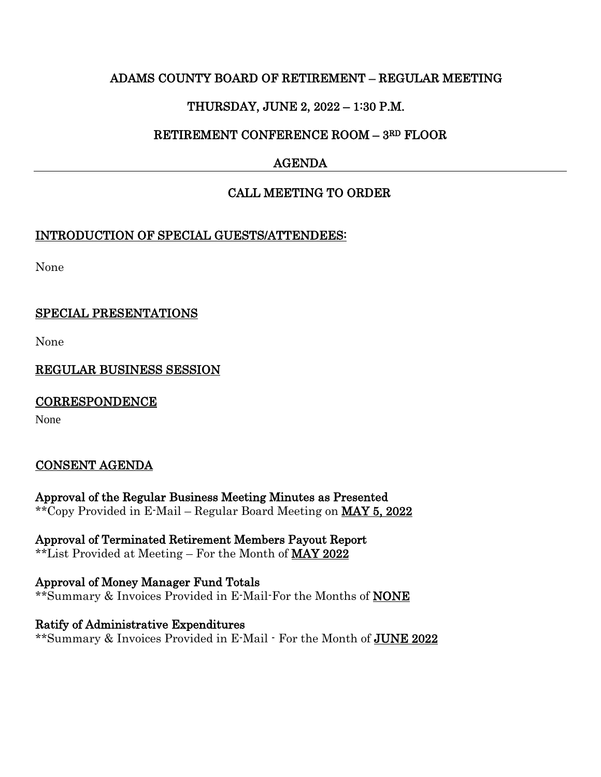## ADAMS COUNTY BOARD OF RETIREMENT – REGULAR MEETING

# THURSDAY, JUNE 2, 2022 – 1:30 P.M.

## RETIREMENT CONFERENCE ROOM – 3RD FLOOR

# AGENDA

# CALL MEETING TO ORDER

## INTRODUCTION OF SPECIAL GUESTS/ATTENDEES:

None

## SPECIAL PRESENTATIONS

None

REGULAR BUSINESS SESSION

**CORRESPONDENCE** 

None

# CONSENT AGENDA

Approval of the Regular Business Meeting Minutes as Presented \*\*Copy Provided in E-Mail – Regular Board Meeting on MAY 5, 2022

Approval of Terminated Retirement Members Payout Report \*\*List Provided at Meeting – For the Month of MAY 2022

Approval of Money Manager Fund Totals \*\*Summary & Invoices Provided in E-Mail-For the Months of NONE

Ratify of Administrative Expenditures \*\*Summary & Invoices Provided in E-Mail - For the Month of JUNE 2022